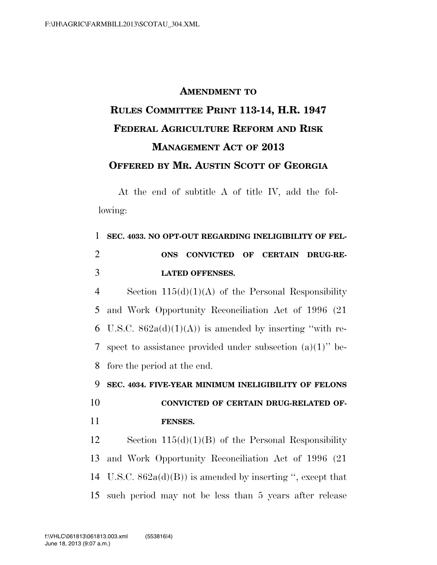## **AMENDMENT TO RULES COMMITTEE PRINT 113-14, H.R. 1947 FEDERAL AGRICULTURE REFORM AND RISK MANAGEMENT ACT OF 2013 OFFERED BY MR. AUSTIN SCOTT OF GEORGIA**

At the end of subtitle A of title IV, add the following:

| $\mathbf{1}$   | SEC. 4033. NO OPT-OUT REGARDING INELIGIBILITY OF FEL-          |
|----------------|----------------------------------------------------------------|
| 2              | CONVICTED OF CERTAIN DRUG-RE-<br><b>ONS</b>                    |
| 3              | <b>LATED OFFENSES.</b>                                         |
| $\overline{4}$ | Section $115(d)(1)(A)$ of the Personal Responsibility          |
|                | 5 and Work Opportunity Reconciliation Act of 1996 (21)         |
|                | 6 U.S.C. $862a(d)(1)(A)$ is amended by inserting "with re-     |
|                | 7 spect to assistance provided under subsection $(a)(1)$ " be- |
|                | 8 fore the period at the end.                                  |

9 **SEC. 4034. FIVE-YEAR MINIMUM INELIGIBILITY OF FELONS**  10 **CONVICTED OF CERTAIN DRUG-RELATED OF-**

11 **FENSES.** 

 Section 115(d)(1)(B) of the Personal Responsibility and Work Opportunity Reconciliation Act of 1996 (21 U.S.C. 862a(d)(B)) is amended by inserting '', except that such period may not be less than 5 years after release